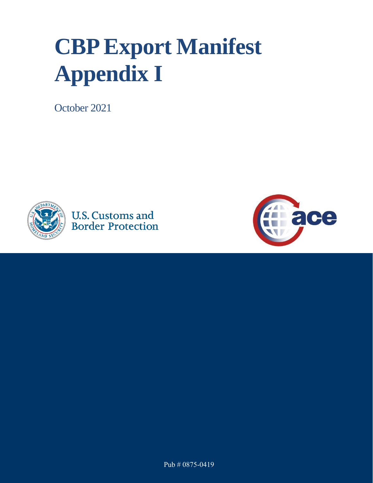## **CBPExport Manifest Appendix I**

October 2021







Pub # 0875-0419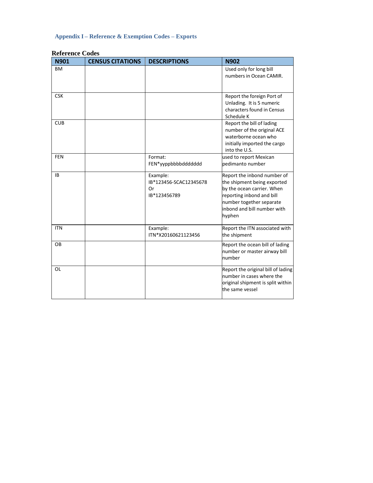## **Appendix I – Reference & Exemption Codes – Exports**

| <b>N901</b> | <b>CENSUS CITATIONS</b> | <b>DESCRIPTIONS</b>                                      | <b>N902</b>                                                                                                                                                                                |
|-------------|-------------------------|----------------------------------------------------------|--------------------------------------------------------------------------------------------------------------------------------------------------------------------------------------------|
| <b>BM</b>   |                         |                                                          | Used only for long bill<br>numbers in Ocean CAMIR.                                                                                                                                         |
| <b>CSK</b>  |                         |                                                          | Report the foreign Port of<br>Unlading. It is 5 numeric<br>characters found in Census<br>Schedule K                                                                                        |
| <b>CUB</b>  |                         |                                                          | Report the bill of lading<br>number of the original ACE<br>waterborne ocean who<br>initially imported the cargo<br>into the U.S.                                                           |
| <b>FEN</b>  |                         | Format:<br>FEN*yyppbbbbddddddd                           | used to report Mexican<br>pedimanto number                                                                                                                                                 |
| <b>IB</b>   |                         | Example:<br>IB*123456-SCAC12345678<br>Or<br>IB*123456789 | Report the inbond number of<br>the shipment being exported<br>by the ocean carrier. When<br>reporting inbond and bill<br>number together separate<br>inbond and bill number with<br>hyphen |
| <b>ITN</b>  |                         | Example:<br>ITN*X20160621123456                          | Report the ITN associated with<br>the shipment                                                                                                                                             |
| <b>OB</b>   |                         |                                                          | Report the ocean bill of lading<br>number or master airway bill<br>number                                                                                                                  |
| <b>OL</b>   |                         |                                                          | Report the original bill of lading<br>number in cases where the<br>original shipment is split within<br>the same vessel                                                                    |

## **Reference Codes**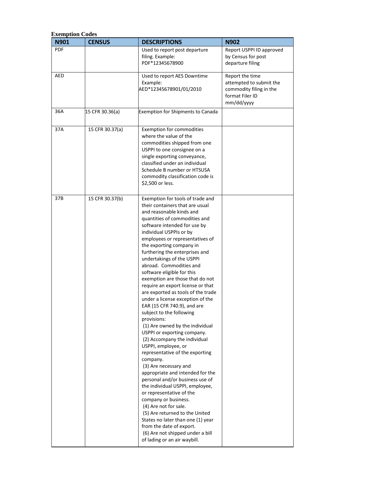| <b>Exemption Codes</b><br>N901 | <b>CENSUS</b>   | <b>DESCRIPTIONS</b>                                                | <b>N902</b>                                    |
|--------------------------------|-----------------|--------------------------------------------------------------------|------------------------------------------------|
| PDF                            |                 | Used to report post departure                                      |                                                |
|                                |                 | filing. Example:                                                   | Report USPPI ID approved<br>by Census for post |
|                                |                 | PDF*12345678900                                                    | departure filing                               |
|                                |                 |                                                                    |                                                |
| AED                            |                 | Used to report AES Downtime                                        | Report the time                                |
|                                |                 | Example:                                                           | attempted to submit the                        |
|                                |                 | AED*12345678901/01/2010                                            | commodity filing in the                        |
|                                |                 |                                                                    | format Filer ID                                |
|                                |                 |                                                                    | mm/dd/yyyy                                     |
| 36A                            | 15 CFR 30.36(a) | <b>Exemption for Shipments to Canada</b>                           |                                                |
|                                |                 |                                                                    |                                                |
| 37A                            | 15 CFR 30.37(a) | <b>Exemption for commodities</b>                                   |                                                |
|                                |                 | where the value of the                                             |                                                |
|                                |                 | commodities shipped from one                                       |                                                |
|                                |                 | USPPI to one consignee on a                                        |                                                |
|                                |                 | single exporting conveyance,                                       |                                                |
|                                |                 | classified under an individual                                     |                                                |
|                                |                 | Schedule B number or HTSUSA                                        |                                                |
|                                |                 | commodity classification code is                                   |                                                |
|                                |                 | \$2,500 or less.                                                   |                                                |
|                                |                 |                                                                    |                                                |
| 37B                            | 15 CFR 30.37(b) | Exemption for tools of trade and                                   |                                                |
|                                |                 | their containers that are usual                                    |                                                |
|                                |                 | and reasonable kinds and<br>quantities of commodities and          |                                                |
|                                |                 | software intended for use by                                       |                                                |
|                                |                 | individual USPPIs or by                                            |                                                |
|                                |                 | employees or representatives of                                    |                                                |
|                                |                 | the exporting company in                                           |                                                |
|                                |                 | furthering the enterprises and                                     |                                                |
|                                |                 | undertakings of the USPPI                                          |                                                |
|                                |                 | abroad. Commodities and                                            |                                                |
|                                |                 | software eligible for this                                         |                                                |
|                                |                 | exemption are those that do not                                    |                                                |
|                                |                 | require an export license or that                                  |                                                |
|                                |                 | are exported as tools of the trade                                 |                                                |
|                                |                 | under a license exception of the<br>EAR (15 CFR 740.9), and are    |                                                |
|                                |                 | subject to the following                                           |                                                |
|                                |                 | provisions:                                                        |                                                |
|                                |                 | (1) Are owned by the individual                                    |                                                |
|                                |                 | USPPI or exporting company.                                        |                                                |
|                                |                 | (2) Accompany the individual                                       |                                                |
|                                |                 | USPPI, employee, or                                                |                                                |
|                                |                 | representative of the exporting                                    |                                                |
|                                |                 | company.                                                           |                                                |
|                                |                 | (3) Are necessary and                                              |                                                |
|                                |                 | appropriate and intended for the                                   |                                                |
|                                |                 | personal and/or business use of<br>the individual USPPI, employee, |                                                |
|                                |                 | or representative of the                                           |                                                |
|                                |                 | company or business.                                               |                                                |
|                                |                 | (4) Are not for sale.                                              |                                                |
|                                |                 | (5) Are returned to the United                                     |                                                |
|                                |                 | States no later than one (1) year                                  |                                                |
|                                |                 | from the date of export.                                           |                                                |
|                                |                 | (6) Are not shipped under a bill                                   |                                                |
|                                |                 | of lading or an air waybill.                                       |                                                |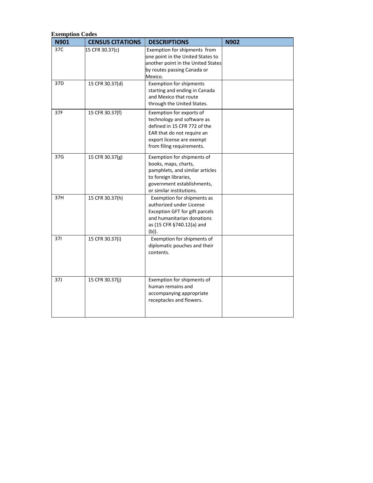| N901            | <b>CENSUS CITATIONS</b> | <b>DESCRIPTIONS</b>                                                                                                                                                            | <b>N902</b> |
|-----------------|-------------------------|--------------------------------------------------------------------------------------------------------------------------------------------------------------------------------|-------------|
| 37C             | 15 CFR 30.37(c)         | Exemption for shipments from<br>one point in the United States to<br>another point in the United States<br>by routes passing Canada or<br>Mexico.                              |             |
| 37 <sub>D</sub> | 15 CFR 30.37(d)         | <b>Exemption for shipments</b><br>starting and ending in Canada<br>and Mexico that route<br>through the United States.                                                         |             |
| 37F             | 15 CFR 30.37(f)         | Exemption for exports of<br>technology and software as<br>defined in 15 CFR 772 of the<br>EAR that do not require an<br>export license are exempt<br>from filing requirements. |             |
| 37G             | 15 CFR 30.37(g)         | Exemption for shipments of<br>books, maps, charts,<br>pamphlets, and similar articles<br>to foreign libraries,<br>government establishments,<br>or similar institutions.       |             |
| 37H             | 15 CFR 30.37(h)         | Exemption for shipments as<br>authorized under License<br>Exception GFT for gift parcels<br>and humanitarian donations<br>as (15 CFR §740.12(a) and<br>(b)).                   |             |
| 371             | 15 CFR 30.37(i)         | Exemption for shipments of<br>diplomatic pouches and their<br>contents.                                                                                                        |             |
| 37J             | 15 CFR 30.37(j)         | Exemption for shipments of<br>human remains and<br>accompanying appropriate<br>receptacles and flowers.                                                                        |             |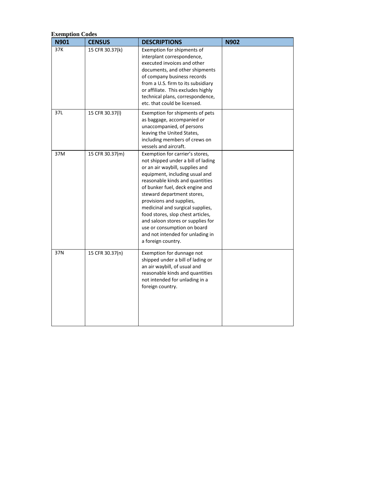| N901 | <b>CENSUS</b>   | <b>DESCRIPTIONS</b>                                                                                                                                                                                                                                                                                                                                                                                                                                                               | <b>N902</b> |
|------|-----------------|-----------------------------------------------------------------------------------------------------------------------------------------------------------------------------------------------------------------------------------------------------------------------------------------------------------------------------------------------------------------------------------------------------------------------------------------------------------------------------------|-------------|
| 37K  | 15 CFR 30.37(k) | Exemption for shipments of<br>interplant correspondence,<br>executed invoices and other<br>documents, and other shipments<br>of company business records<br>from a U.S. firm to its subsidiary<br>or affiliate. This excludes highly<br>technical plans, correspondence,<br>etc. that could be licensed.                                                                                                                                                                          |             |
| 37L  | 15 CFR 30.37(I) | Exemption for shipments of pets<br>as baggage, accompanied or<br>unaccompanied, of persons<br>leaving the United States,<br>including members of crews on<br>vessels and aircraft.                                                                                                                                                                                                                                                                                                |             |
| 37M  | 15 CFR 30.37(m) | Exemption for carrier's stores,<br>not shipped under a bill of lading<br>or an air waybill, supplies and<br>equipment, including usual and<br>reasonable kinds and quantities<br>of bunker fuel, deck engine and<br>steward department stores,<br>provisions and supplies,<br>medicinal and surgical supplies,<br>food stores, slop chest articles,<br>and saloon stores or supplies for<br>use or consumption on board<br>and not intended for unlading in<br>a foreign country. |             |
| 37N  | 15 CFR 30.37(n) | Exemption for dunnage not<br>shipped under a bill of lading or<br>an air waybill, of usual and<br>reasonable kinds and quantities<br>not intended for unlading in a<br>foreign country.                                                                                                                                                                                                                                                                                           |             |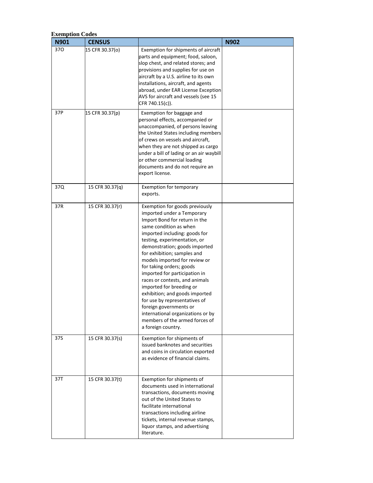| N901 | <b>CENSUS</b>   |                                                                                                                                                                                                                                                                                                                                                                                                                                                                                                                                                                                                                | <b>N902</b> |
|------|-----------------|----------------------------------------------------------------------------------------------------------------------------------------------------------------------------------------------------------------------------------------------------------------------------------------------------------------------------------------------------------------------------------------------------------------------------------------------------------------------------------------------------------------------------------------------------------------------------------------------------------------|-------------|
| 370  | 15 CFR 30.37(o) | Exemption for shipments of aircraft<br>parts and equipment; food, saloon,<br>slop chest, and related stores; and<br>provisions and supplies for use on<br>aircraft by a U.S. airline to its own<br>installations, aircraft, and agents<br>abroad, under EAR License Exception<br>AVS for aircraft and vessels (see 15<br>CFR 740.15(c)).                                                                                                                                                                                                                                                                       |             |
| 37P  | 15 CFR 30.37(p) | Exemption for baggage and<br>personal effects, accompanied or<br>unaccompanied, of persons leaving<br>the United States including members<br>of crews on vessels and aircraft,<br>when they are not shipped as cargo<br>under a bill of lading or an air waybill<br>or other commercial loading<br>documents and do not require an<br>export license.                                                                                                                                                                                                                                                          |             |
| 37Q  | 15 CFR 30.37(q) | <b>Exemption for temporary</b><br>exports.                                                                                                                                                                                                                                                                                                                                                                                                                                                                                                                                                                     |             |
| 37R  | 15 CFR 30.37(r) | Exemption for goods previously<br>imported under a Temporary<br>Import Bond for return in the<br>same condition as when<br>imported including: goods for<br>testing, experimentation, or<br>demonstration; goods imported<br>for exhibition; samples and<br>models imported for review or<br>for taking orders; goods<br>imported for participation in<br>races or contests, and animals<br>imported for breeding or<br>exhibition; and goods imported<br>for use by representatives of<br>foreign governments or<br>international organizations or by<br>members of the armed forces of<br>a foreign country. |             |
| 37S  | 15 CFR 30.37(s) | Exemption for shipments of<br>issued banknotes and securities<br>and coins in circulation exported<br>as evidence of financial claims.                                                                                                                                                                                                                                                                                                                                                                                                                                                                         |             |
| 37T  | 15 CFR 30.37(t) | Exemption for shipments of<br>documents used in international<br>transactions, documents moving<br>out of the United States to<br>facilitate international<br>transactions including airline<br>tickets, internal revenue stamps,<br>liquor stamps, and advertising<br>literature.                                                                                                                                                                                                                                                                                                                             |             |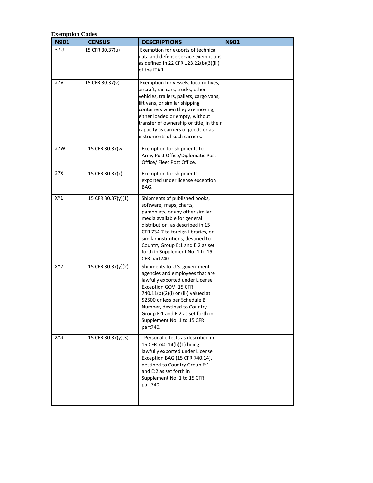| <b>Exemption Codes</b><br>N901 | <b>CENSUS</b>      | <b>DESCRIPTIONS</b>                                                                                                                                                                                                                                                                                                                                | <b>N902</b> |
|--------------------------------|--------------------|----------------------------------------------------------------------------------------------------------------------------------------------------------------------------------------------------------------------------------------------------------------------------------------------------------------------------------------------------|-------------|
| 37U                            | 15 CFR 30.37(u)    | Exemption for exports of technical<br>data and defense service exemptions<br>as defined in 22 CFR 123.22(b)(3)(iii)<br>of the ITAR.                                                                                                                                                                                                                |             |
| 37V                            | 15 CFR 30.37(v)    | Exemption for vessels, locomotives,<br>aircraft, rail cars, trucks, other<br>vehicles, trailers, pallets, cargo vans,<br>lift vans, or similar shipping<br>containers when they are moving,<br>either loaded or empty, without<br>transfer of ownership or title, in their<br>capacity as carriers of goods or as<br>instruments of such carriers. |             |
| 37W                            | 15 CFR 30.37(w)    | Exemption for shipments to<br>Army Post Office/Diplomatic Post<br>Office/ Fleet Post Office.                                                                                                                                                                                                                                                       |             |
| 37X                            | 15 CFR 30.37(x)    | <b>Exemption for shipments</b><br>exported under license exception<br>BAG.                                                                                                                                                                                                                                                                         |             |
| XY1                            | 15 CFR 30.37(y)(1) | Shipments of published books,<br>software, maps, charts,<br>pamphlets, or any other similar<br>media available for general<br>distribution, as described in 15<br>CFR 734.7 to foreign libraries, or<br>similar institutions, destined to<br>Country Group E:1 and E:2 as set<br>forth in Supplement No. 1 to 15<br>CFR part740.                   |             |
| XY2                            | 15 CFR 30.37(y)(2) | Shipments to U.S. government<br>agencies and employees that are<br>lawfully exported under License<br>Exception GOV (15 CFR<br>740.11(b)(2)(i) or (ii)) valued at<br>\$2500 or less per Schedule B<br>Number, destined to Country<br>Group E:1 and E:2 as set forth in<br>Supplement No. 1 to 15 CFR<br>part740.                                   |             |
| XY3                            | 15 CFR 30.37(y)(3) | Personal effects as described in<br>15 CFR 740.14(b)(1) being<br>lawfully exported under License<br>Exception BAG (15 CFR 740.14),<br>destined to Country Group E:1<br>and E:2 as set forth in<br>Supplement No. 1 to 15 CFR<br>part740.                                                                                                           |             |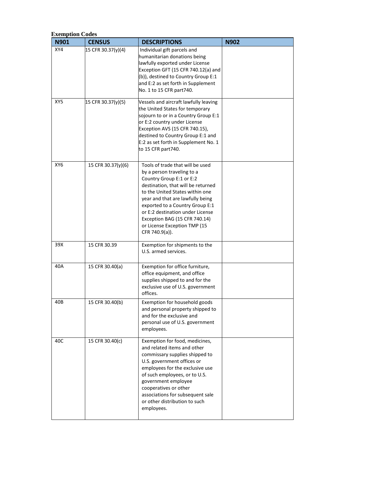| <b>Exemption Codes</b><br>N901 | <b>CENSUS</b>      | <b>DESCRIPTIONS</b>                                                                                                                                                                                                                                                                                                                                               | <b>N902</b> |
|--------------------------------|--------------------|-------------------------------------------------------------------------------------------------------------------------------------------------------------------------------------------------------------------------------------------------------------------------------------------------------------------------------------------------------------------|-------------|
| XY4                            | 15 CFR 30.37(y)(4) | Individual gift parcels and<br>humanitarian donations being<br>lawfully exported under License<br>Exception GFT (15 CFR 740.12(a) and<br>(b)), destined to Country Group E:1<br>and E:2 as set forth in Supplement<br>No. 1 to 15 CFR part740.                                                                                                                    |             |
| XY5                            | 15 CFR 30.37(y)(5) | Vessels and aircraft lawfully leaving<br>the United States for temporary<br>sojourn to or in a Country Group E:1<br>or E:2 country under License<br>Exception AVS (15 CFR 740.15),<br>destined to Country Group E:1 and<br>E:2 as set forth in Supplement No. 1<br>to 15 CFR part740.                                                                             |             |
| XY <sub>6</sub>                | 15 CFR 30.37(y)(6) | Tools of trade that will be used<br>by a person traveling to a<br>Country Group E:1 or E:2<br>destination, that will be returned<br>to the United States within one<br>year and that are lawfully being<br>exported to a Country Group E:1<br>or E:2 destination under License<br>Exception BAG (15 CFR 740.14)<br>or License Exception TMP (15<br>CFR 740.9(a)). |             |
| 39X                            | 15 CFR 30.39       | Exemption for shipments to the<br>U.S. armed services.                                                                                                                                                                                                                                                                                                            |             |
| 40A                            | 15 CFR 30.40(a)    | Exemption for office furniture,<br>office equipment, and office<br>supplies shipped to and for the<br>exclusive use of U.S. government<br>offices.                                                                                                                                                                                                                |             |
| 40B                            | 15 CFR 30.40(b)    | Exemption for household goods<br>and personal property shipped to<br>and for the exclusive and<br>personal use of U.S. government<br>employees.                                                                                                                                                                                                                   |             |
| 40C                            | 15 CFR 30.40(c)    | Exemption for food, medicines,<br>and related items and other<br>commissary supplies shipped to<br>U.S. government offices or<br>employees for the exclusive use<br>of such employees, or to U.S.<br>government employee<br>cooperatives or other<br>associations for subsequent sale<br>or other distribution to such<br>employees.                              |             |